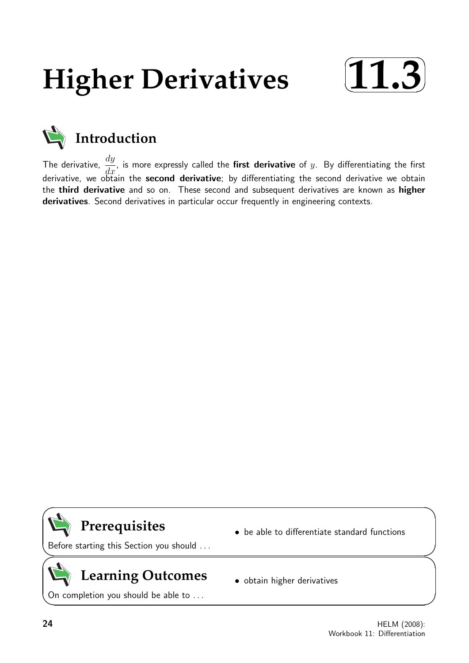# **Higher Derivatives**





The derivative,  $\frac{dy}{dt}$  $\frac{dy}{dx}$ , is more expressly called the **first derivative** of y. By differentiating the first derivative, we obtain the **second derivative**; by differentiating the second derivative we obtain the third derivative and so on. These second and subsequent derivatives are known as higher derivatives. Second derivatives in particular occur frequently in engineering contexts.

# **Prerequisites**

• be able to differentiate standard functions

Before starting this Section you should . . .

# **Learning Outcomes**

On completion you should be able to ...

• obtain higher derivatives

 $\overline{\phantom{0}}$ 

 $\geq$ 

 $\geq$ 

 $\overline{\phantom{0}}$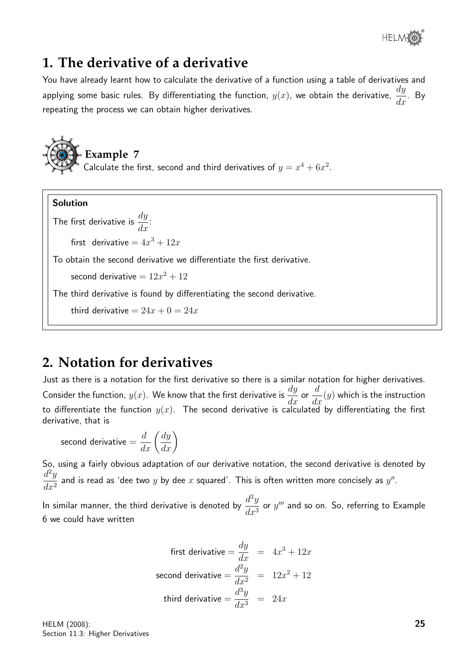

## **1. The derivative of a derivative**

You have already learnt how to calculate the derivative of a function using a table of derivatives and applying some basic rules. By differentiating the function,  $y(x)$ , we obtain the derivative,  $\frac{dy}{dx}$  $\frac{dy}{dx}$ . By repeating the process we can obtain higher derivatives.

**Example 7** Calculate the first, second and third derivatives of  $y = x^4 + 6x^2$ .

#### Solution

The first derivative is  $\frac{dy}{dt}$  $\frac{dy}{dx}$ : first derivative  $=4x^3+12x$ To obtain the second derivative we differentiate the first derivative. second derivative  $=12x^2+12$ The third derivative is found by differentiating the second derivative. third derivative  $= 24x + 0 = 24x$ 

## **2. Notation for derivatives**

Just as there is a notation for the first derivative so there is a similar notation for higher derivatives. Consider the function,  $y(x)$ . We know that the first derivative is  $\frac{dy}{dx}$  $\frac{dy}{dx}$  or d  $\frac{d}{dx}(y)$  which is the instruction to differentiate the function  $y(x)$ . The second derivative is calculated by differentiating the first derivative, that is

$$
\text{second derivative} = \frac{d}{dx} \left( \frac{dy}{dx} \right)
$$

So, using a fairly obvious adaptation of our derivative notation, the second derivative is denoted by  $d^2y$  $\frac{d^2y}{dx^2}$  and is read as 'dee two  $y$  by dee  $x$  squared'. This is often written more concisely as  $y''$ .

In similar manner, the third derivative is denoted by  $\frac{d^3y}{dx^3}$  $\frac{d^2y}{dx^3}$  or  $y'''$  and so on. So, referring to Example 6 we could have written

first derivative 
$$
=\frac{dy}{dx} = 4x^3 + 12x
$$
  
second derivative  $=\frac{d^2y}{dx^2} = 12x^2 + 12$   
third derivative  $=\frac{d^3y}{dx^3} = 24x$ 

HELM (2008): Section 11.3: Higher Derivatives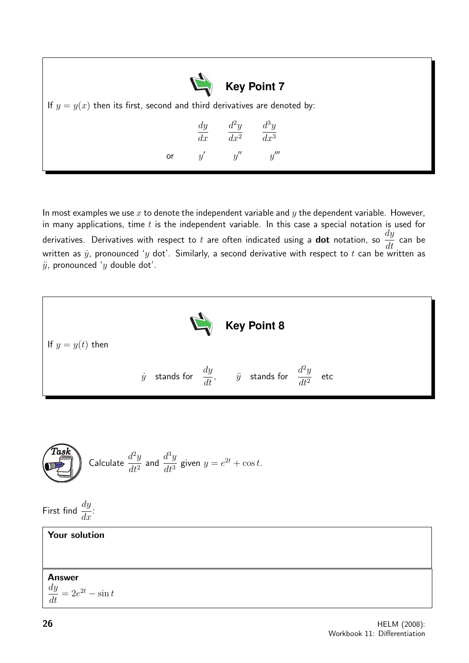| Key Point 7<br>If $y = y(x)$ then its first, second and third derivatives are denoted by: |    |  |                                                                                        |  |  |  |  |  |
|-------------------------------------------------------------------------------------------|----|--|----------------------------------------------------------------------------------------|--|--|--|--|--|
|                                                                                           | or |  | $\frac{dy}{dx} \qquad \frac{d^2y}{dx^2} \qquad \frac{d^3y}{dx^3}$<br>$y'$ $y''$ $y'''$ |  |  |  |  |  |

In most examples we use  $x$  to denote the independent variable and  $y$  the dependent variable. However, in many applications, time  $t$  is the independent variable. In this case a special notation is used for derivatives. Derivatives with respect to t are often indicated using a dot notation, so  $\frac{dy}{dt}$  $\frac{dy}{dt}$  can be written as  $\dot{y}$ , pronounced 'y dot'. Similarly, a second derivative with respect to t can be written as  $\ddot{y}$ , pronounced 'y double dot'.



**Task**  
Calculate 
$$
\frac{d^2y}{dt^2}
$$
 and  $\frac{d^3y}{dt^3}$  given  $y = e^{2t} + \cos t$ .

First find  $\frac{dy}{dx}$  $\frac{dy}{dx}$ :

#### Your solution

#### Answer

dy  $\frac{dy}{dt} = 2e^{2t} - \sin t$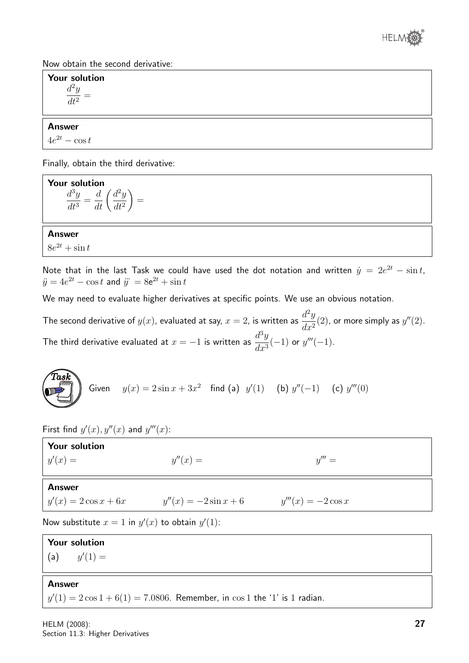

Now obtain the second derivative:

Your solution  $d^2y$  $dt^2$ =

#### Answer

 $4e^{2t} - \cos t$ 

Finally, obtain the third derivative:

**Your solution**  

$$
\frac{d^3y}{dt^3} = \frac{d}{dt}\left(\frac{d^2y}{dt^2}\right) =
$$

Answer  $8e^{2t} + \sin t$ 

Note that in the last Task we could have used the dot notation and written  $\dot{y} = 2e^{2t} - \sin t$ ,  $\ddot{y} = 4e^{2t} - \cos t$  and  $\dddot{y} = 8e^{2t} + \sin t$ 

We may need to evaluate higher derivatives at specific points. We use an obvious notation.

The second derivative of  $y(x)$ , evaluated at say,  $x=2$ , is written as  $\frac{d^2y}{dx^2}$  $\frac{d^{2}y}{dx^{2}}(2)$ , or more simply as  $y''(2)$ . The third derivative evaluated at  $x = -1$  is written as  $\frac{d^3y}{dx^3}$  $dx^3$  $(-1)$  or  $y'''(-1)$ .

**Task**  
Given 
$$
y(x) = 2\sin x + 3x^2
$$
 find (a)  $y'(1)$  (b)  $y''(-1)$  (c)  $y'''(0)$ 

First find  $y'(x)$ ,  $y''(x)$  and  $y'''(x)$ :

| <b>Your solution</b><br>$y'(x) =$                     | $y''(x) =$              | $y''' =$             |  |  |  |  |  |
|-------------------------------------------------------|-------------------------|----------------------|--|--|--|--|--|
| <b>Answer</b>                                         |                         |                      |  |  |  |  |  |
| $y'(x) = 2\cos x + 6x$                                | $y''(x) = -2\sin x + 6$ | $y'''(x) = -2\cos x$ |  |  |  |  |  |
| Now substitute $x = 1$ in $y'(x)$ to obtain $y'(1)$ : |                         |                      |  |  |  |  |  |

Your solution  $(a)$  $(1) =$ 

#### Answer

 $y'(1) = 2\cos 1 + 6(1) = 7.0806$ . Remember, in  $\cos 1$  the '1' is 1 radian.